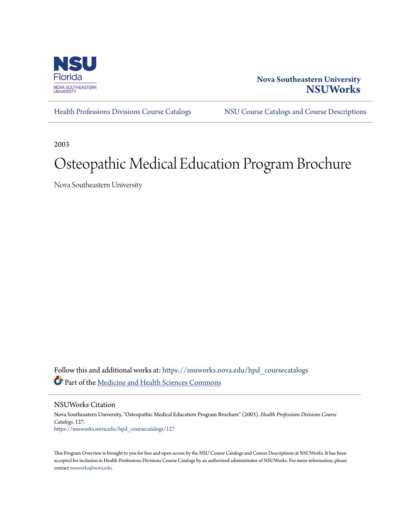

# **Nova Southeastern University [NSUWorks](https://nsuworks.nova.edu?utm_source=nsuworks.nova.edu%2Fhpd_coursecatalogs%2F127&utm_medium=PDF&utm_campaign=PDFCoverPages)**

[Health Professions Divisions Course Catalogs](https://nsuworks.nova.edu/hpd_coursecatalogs?utm_source=nsuworks.nova.edu%2Fhpd_coursecatalogs%2F127&utm_medium=PDF&utm_campaign=PDFCoverPages) [NSU Course Catalogs and Course Descriptions](https://nsuworks.nova.edu/nsu_catalogs?utm_source=nsuworks.nova.edu%2Fhpd_coursecatalogs%2F127&utm_medium=PDF&utm_campaign=PDFCoverPages)

2003

# Osteopathic Medical Education Program Brochure

Nova Southeastern University

Follow this and additional works at: [https://nsuworks.nova.edu/hpd\\_coursecatalogs](https://nsuworks.nova.edu/hpd_coursecatalogs?utm_source=nsuworks.nova.edu%2Fhpd_coursecatalogs%2F127&utm_medium=PDF&utm_campaign=PDFCoverPages) Part of the [Medicine and Health Sciences Commons](http://network.bepress.com/hgg/discipline/648?utm_source=nsuworks.nova.edu%2Fhpd_coursecatalogs%2F127&utm_medium=PDF&utm_campaign=PDFCoverPages)

NSUWorks Citation

Nova Southeastern University, "Osteopathic Medical Education Program Brochure" (2003). *Health Professions Divisions Course Catalogs*. 127. [https://nsuworks.nova.edu/hpd\\_coursecatalogs/127](https://nsuworks.nova.edu/hpd_coursecatalogs/127?utm_source=nsuworks.nova.edu%2Fhpd_coursecatalogs%2F127&utm_medium=PDF&utm_campaign=PDFCoverPages)

This Program Overview is brought to you for free and open access by the NSU Course Catalogs and Course Descriptions at NSUWorks. It has been accepted for inclusion in Health Professions Divisions Course Catalogs by an authorized administrator of NSUWorks. For more information, please contact [nsuworks@nova.edu](mailto:nsuworks@nova.edu).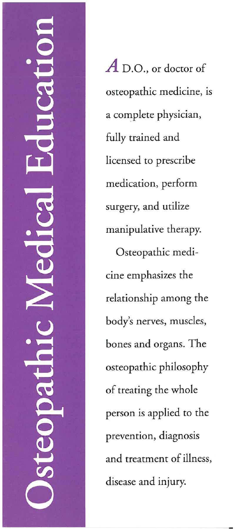*A* D.O., or doctor of osteopathic medicine, is a complete physician, fully trained and licensed to prescribe medication, perform surgery, and utilize manipulative therapy.

Osteopathic medicine emphasizes the relationship among the body's nerves, muscles, bones and organs. The osteopathic philosophy of treating the whole person is applied to the prevention, diagnosis and treatment of illness, disease and injury.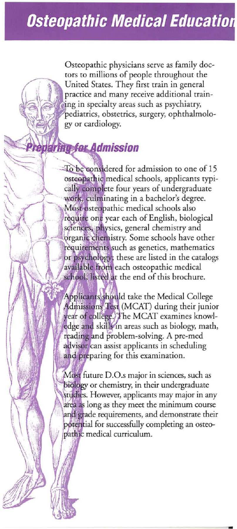Osteopathic physicians serve as family doctors to millions of people throughout the United States. They first train in general practice and many receive additional training in specialty areas such as psychiatry, pediatrics, obstetrics, surgery, ophthalmology or cardiology.

# **taring for Admission**

To be considered for admission to one of 15 osteopathic medical schools, applicants typically complete four years of undergraduate work, culminating in a bachelor's degree. Most osteopathic medical schools also require one year each of English, biological sciences, physics, general chemistry and organic chemistry. Some schools have other requirements such as genetics, mathematics or psychology; these are listed in the catalogs available from each osteopathic medical school. listed at the end of this brochure.

Applicants should take the Medical College Admissions Test (MCAT) during their junior year of college. The MCAT examines knowledge and skills in areas such as biology, math, reading and problem-solving. A pre-med advisor can assist applicants in scheduling and preparing for this examination.

Most future D.O.s major in sciences, such as biology or chemistry, in their undergraduate studies. However, applicants may major in any area as long as they meet the minimum course and grade requirements, and demonstrate their potential for successfully completing an osteopathic medical curriculum.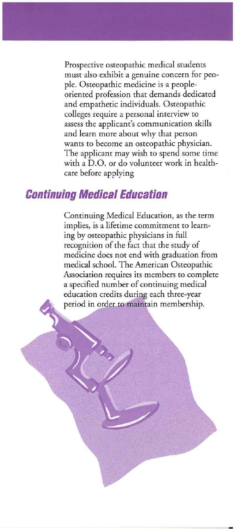Prospective osteopathic medical students **must also exhibit a genuine concern for peo**ple. Osteopathic medicine is a peopleoriented profession that demands dedicated and empathetic individuals. Osteopathic **colleges require a personal interview to assess the applicant's communication** *skills*  and learn more about why that person **wants to become an osteopathic physician.**  The applicant may wish to spend some time with a D.O. or do volunteer work in healthcare before applying

#### **Continuing Medical Education**

Continuing Medical Education, as the term **implies. is a lifetime commitment to learn**ing by osteopathic physicians in full recognition of the fact that the study of medicine does not end with graduation from medical school. The American Osteopathic Association requires its members to complete a specified number of continuing medical education credits during each three-year period in order to maintain membership.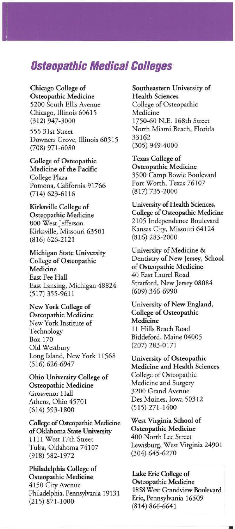### Osteopathic Medical Colleges

Chicago College of Osteopathic Medicine 5200 South Ellis Avenue Chicago, Illinois 60615 (312) 947-3000

555 31st Street Downers Grove, Illinois 60515 (708) 971-6080

College of Osteopathic Medicine of the Pacific College Plaza Pomona, California 91766 (714) 623-6116

Kirksville College of Osteopathic Medicine 800 West Jefferson Kirksville, Missouri 63501 (816) 626-2121

Michigan State University College of Osteopathic Medicine East Fee Hall East Lansing, Michigan 48824 (517) 355-9611

New York College of Osteopathic Medicine New York Institute of Technology Box 170 Old Westbury Long Island, New York 11568 (516) 626-6947

Ohio University College of Osteopathic Medicine Grosvenor Hall Athens, Ohio 45701 (614) 593-1800

College of Osteopathic Medicine of Oklahoma State University 1111 West 17th Street Tulsa, Oklahoma 74107 (918) 582-1972

Philadelphia College of Osteopathic Medicine 4150 City Avenue Philadelphia, Pennsylvania 19131 (215) 871 -1000

Southeastern University of Health Sciences College of Osteopathic Medicine 1750-60 N.E. 168th Street North Miami Beach, Florida 33162 (305) 949-4000

Texas College of Osteopathic Medicine 3500 Camp Bowie Boulevard Fort Worth, Texas 76107 (817) 735-2000

University of Health Sciences, College of Osteopathic Medicine 2105 Independence Boulevard Kansas City, Missouri 64124 (8 16) 283-2000

University of Medicine & Dentistry of New Jersey, School of Osteopathic Medicine 40 East Laurel Road Stratford, New Jersey 08084 (609) 346-6990

University of New England, College of Osteopathic Medicine 11 Hills Beach Road Biddeford, Maine 04005 (207) 283-0171

University of Osteopathic Medicine and Health Sciences College of Osteopathic Medicine and Surgery 3200 Grand Avenue Des Moines, Iowa 50312 (515) 271-1400

West Virginia School of Osteopathic Medicine 400 North Lee Street Lewisburg, West Virginia 24901 (304) 645-6270

Lake Erie College of Osteopathic Medicine 1858 West Grandview Boulevard Erie, Pennsylvania 16509 (814) 866-6641

•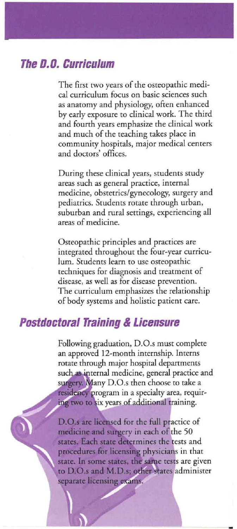# **The 0.0. Curriculum**

The first two years of the osteopathic medi**cal curriculum focus on basic sciences such**  as anatomy and physiology, often enhanced by early exposure to clinical work. The third and fourth years emphasize the clinical work and much of the teaching takes place in community hospitals, major medical centers and doctors' offices.

During these clinical years, students study **areas such as general practice, internal**  medicine, obstetrics/gynecology, surgery and pediatrics. Students rotate through urban, suburban and rural settings, experiencing all **areas of medicine.** 

Osteopathic principles and practices are integrated throughout the four-year curriculum. Students learn to use osteopathic **techniques for diagnosis and treatment of disease, as well as for disease prevention.**  The curriculum emphasizes the relationship of body systems and holistic patient care.

### **Postdoctoral Training & Licensure**

Following graduation, D.O.s must complete an approved 12-month internship. Interns rotate through major hospital departments such as internal medicine, general practice and surgery. Many D.O.s then choose to take a residency program in a specialty area, requiring two to six years of additional training.

D.O.s are licensed for the full practice of medicine and surgery in each of the 50 states. Each state determines the tests and procedures for licensing physicians in that state. In some states, the same tests are given to D.O.s and M.D.s; other states administer separate licensing exams.